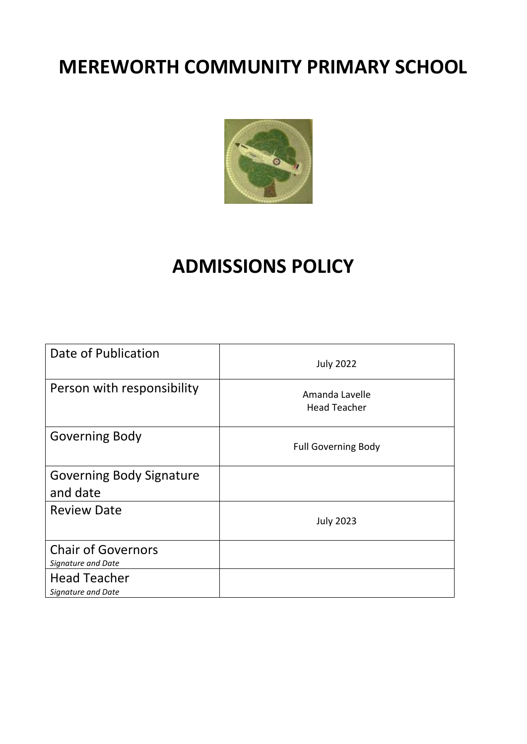# **MEREWORTH COMMUNITY PRIMARY SCHOOL**



# **ADMISSIONS POLICY**

| Date of Publication                             | <b>July 2022</b>                      |
|-------------------------------------------------|---------------------------------------|
| Person with responsibility                      | Amanda Lavelle<br><b>Head Teacher</b> |
| <b>Governing Body</b>                           | <b>Full Governing Body</b>            |
| <b>Governing Body Signature</b><br>and date     |                                       |
| <b>Review Date</b>                              | <b>July 2023</b>                      |
| <b>Chair of Governors</b><br>Signature and Date |                                       |
| <b>Head Teacher</b><br>Signature and Date       |                                       |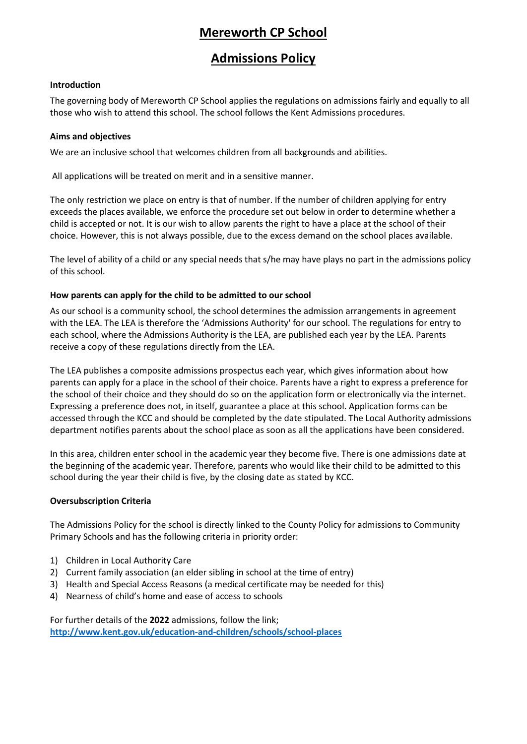# **Mereworth CP School**

## **Admissions Policy**

## **Introduction**

The governing body of Mereworth CP School applies the regulations on admissions fairly and equally to all those who wish to attend this school. The school follows the Kent Admissions procedures.

#### **Aims and objectives**

We are an inclusive school that welcomes children from all backgrounds and abilities.

All applications will be treated on merit and in a sensitive manner.

The only restriction we place on entry is that of number. If the number of children applying for entry exceeds the places available, we enforce the procedure set out below in order to determine whether a child is accepted or not. It is our wish to allow parents the right to have a place at the school of their choice. However, this is not always possible, due to the excess demand on the school places available.

The level of ability of a child or any special needs that s/he may have plays no part in the admissions policy of this school.

#### **How parents can apply for the child to be admitted to our school**

As our school is a community school, the school determines the admission arrangements in agreement with the LEA. The LEA is therefore the 'Admissions Authority' for our school. The regulations for entry to each school, where the Admissions Authority is the LEA, are published each year by the LEA. Parents receive a copy of these regulations directly from the LEA.

The LEA publishes a composite admissions prospectus each year, which gives information about how parents can apply for a place in the school of their choice. Parents have a right to express a preference for the school of their choice and they should do so on the application form or electronically via the internet. Expressing a preference does not, in itself, guarantee a place at this school. Application forms can be accessed through the KCC and should be completed by the date stipulated. The Local Authority admissions department notifies parents about the school place as soon as all the applications have been considered.

In this area, children enter school in the academic year they become five. There is one admissions date at the beginning of the academic year. Therefore, parents who would like their child to be admitted to this school during the year their child is five, by the closing date as stated by KCC.

## **Oversubscription Criteria**

The Admissions Policy for the school is directly linked to the County Policy for admissions to Community Primary Schools and has the following criteria in priority order:

- 1) Children in Local Authority Care
- 2) Current family association (an elder sibling in school at the time of entry)
- 3) Health and Special Access Reasons (a medical certificate may be needed for this)
- 4) Nearness of child's home and ease of access to schools

For further details of the **2022** admissions, follow the link; **<http://www.kent.gov.uk/education-and-children/schools/school-places>**